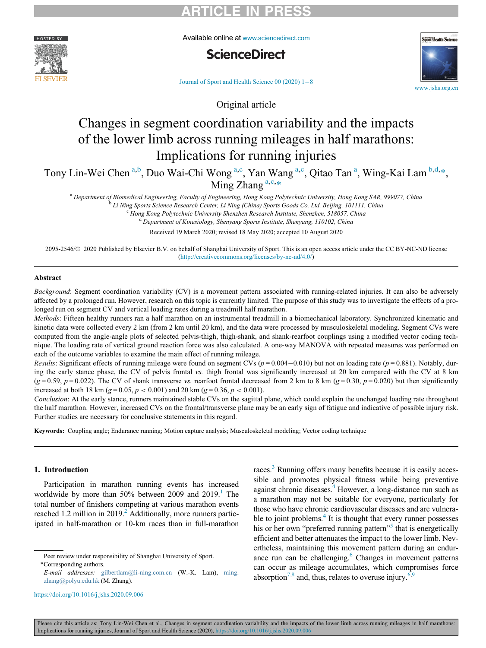

Available online at [www.sciencedirect.com](http://www.sciencedirect.com)





Journal of Sport and Health Science  $00(2020)$  1-[8](https://doi.org/)

Original article

# Changes in segment coordination variability and the impacts of the lower limb across running mileages in half marathons: Implications for running injuries

<span id="page-0-1"></span><span id="page-0-0"></span>Tony Lin-Wei Chen<sup>[a,](#page-0-0)[b](#page-0-1)</sup>, Duo Wai-Chi Wong<sup>a,[c](#page-0-2)</sup>, Y[a](#page-0-0)n Wang<sup>a,c</sup>, Qitao Tan<sup>a</sup>, Wing-Kai Lam<sup>b,[d,](#page-0-3)[\\*](#page-0-4)</sup>, Ming Zh[a](#page-0-0)ng<sup>a,[c](#page-0-2),[\\*](#page-0-4)</sup>

<sup>a</sup> Department of Biomedical Engineering, Faculty of Engineering, Hong Kong Polytechnic University, Hong Kong SAR, 999077, China<br><sup>b</sup> Li Ning Sports Science Research Center, Li Ning (China) Sports Goods Co. Ltd, Beijing, 10

<sup>d</sup> Department of Kinesiology, Shenyang Sports Institute, Shenyang, 110102, China

Received 19 March 2020; revised 18 May 2020; accepted 10 August 2020

<span id="page-0-3"></span><span id="page-0-2"></span>2095-2546/© 2020 Published by Elsevier B.V. on behalf of Shanghai University of Sport. This is an open access article under the CC BY-NC-ND license [\(http://creativecommons.org/licenses/by-nc-nd/4.0/\)](http://creativecommons.org/licenses/by-nc-nd/4.0/)

#### Abstract

Background: Segment coordination variability (CV) is a movement pattern associated with running-related injuries. It can also be adversely affected by a prolonged run. However, research on this topic is currently limited. The purpose of this study was to investigate the effects of a prolonged run on segment CV and vertical loading rates during a treadmill half marathon.

Methods: Fifteen healthy runners ran a half marathon on an instrumental treadmill in a biomechanical laboratory. Synchronized kinematic and kinetic data were collected every 2 km (from 2 km until 20 km), and the data were processed by musculoskeletal modeling. Segment CVs were computed from the angle-angle plots of selected pelvis-thigh, thigh-shank, and shank-rearfoot couplings using a modified vector coding technique. The loading rate of vertical ground reaction force was also calculated. A one-way MANOVA with repeated measures was performed on each of the outcome variables to examine the main effect of running mileage.

Results: Significant effects of running mileage were found on segment CVs ( $p = 0.004 - 0.010$ ) but not on loading rate ( $p = 0.881$ ). Notably, during the early stance phase, the CV of pelvis frontal vs. thigh frontal was significantly increased at 20 km compared with the CV at 8 km  $(g = 0.59, p = 0.022)$ . The CV of shank transverse vs. rearfoot frontal decreased from 2 km to 8 km  $(g = 0.30, p = 0.020)$  but then significantly increased at both 18 km ( $g = 0.05$ ,  $p < 0.001$ ) and 20 km ( $g = 0.36$ ,  $p < 0.001$ ).

Conclusion: At the early stance, runners maintained stable CVs on the sagittal plane, which could explain the unchanged loading rate throughout the half marathon. However, increased CVs on the frontal/transverse plane may be an early sign of fatigue and indicative of possible injury risk. Further studies are necessary for conclusive statements in this regard.

Keywords: Coupling angle; Endurance running; Motion capture analysis; Musculoskeletal modeling; Vector coding technique

#### 1. Introduction

Participation in marathon running events has increased worldwide by more than  $50\%$  between 2009 and 20[1](#page-6-0)9.<sup>1</sup> The total number of finishers competing at various marathon events reached 1[.2](#page-6-1) million in 2019.<sup>2</sup> Additionally, more runners participated in half-marathon or 10-km races than in full-marathon

races.<sup>3</sup> Running offers many benefits because it is easily accessible and promotes physical fitness while being preventive against chronic diseases.[4](#page-6-3) However, a long-distance run such as a marathon may not be suitable for everyone, particularly for those who have chronic cardiovascular diseases and are vulnerable to joint problems. $<sup>4</sup>$  It is thought that every runner possesses</sup> his or her own "preferred running pattern"<sup>5</sup> that is energetically efficient and better attenuates the impact to the lower limb. Nevertheless, maintaining this movement pattern during an endurance run can be challenging. $6$  Changes in movement patterns can occur as mileage accumulates, which compromises force absorption<sup>7[,8](#page-6-7)</sup> and, thus, relates to overuse injury.<sup>[6](#page-6-5)[,9](#page-6-8)</sup>



<span id="page-0-4"></span>Peer review under responsibility of Shanghai University of Sport. \*Corresponding authors.

E-mail addresses: [gilbertlam@li-ning.com.cn](mailto:gilbertlam@li-ning.com.cn) (W.-K. Lam), [ming.](mailto:ming.zhang@polyu.edu.hk) [zhang@polyu.edu.hk](mailto:ming.zhang@polyu.edu.hk) (M. Zhang).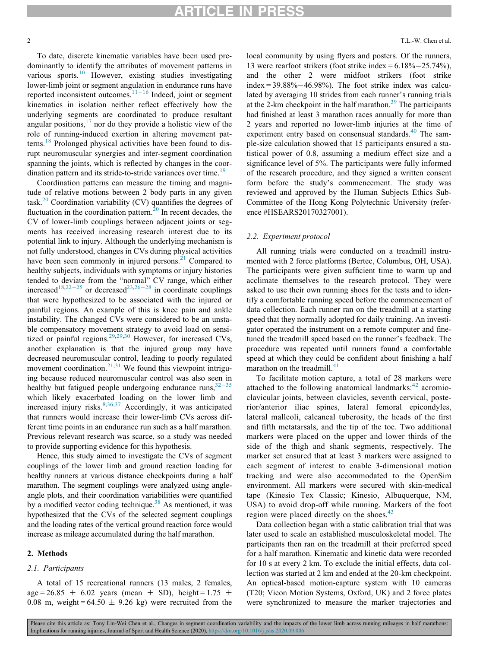To date, discrete kinematic variables have been used predominantly to identify the attributes of movement patterns in various sports. $10$  However, existing studies investigating lower-limb joint or segment angulation in endurance runs have reported inconsistent outcomes. $11-16$  $11-16$  $11-16$  Indeed, joint or segment kinematics in isolation neither reflect effectively how the underlying segments are coordinated to produce resultant angular positions, $17$  nor do they provide a holistic view of the role of running-induced exertion in altering movement pat-terns.<sup>[18](#page-6-12)</sup> Prolonged physical activities have been found to disrupt neuromuscular synergies and inter-segment coordination spanning the joints, which is reflected by changes in the coor-dination pattern and its stride-to-stride variances over time.<sup>[19](#page-6-13)</sup>

Coordination patterns can measure the timing and magnitude of relative motions between 2 body parts in any given task.<sup>[20](#page-6-14)</sup> Coordination variability (CV) quantifies the degrees of fluctuation in the coordination pattern.<sup>20</sup> In recent decades, the CV of lower-limb couplings between adjacent joints or segments has received increasing research interest due to its potential link to injury. Although the underlying mechanism is not fully understood, changes in CVs during physical activities have been seen commonly in injured persons. $2<sup>1</sup>$  Compared to healthy subjects, individuals with symptoms or injury histories tended to deviate from the "normal" CV range, which either increased<sup>[18,](#page-6-12)[22](#page-6-16)-[25](#page-6-16)</sup> or decreased<sup>[23](#page-6-17),[26](#page-6-18)-[28](#page-6-18)</sup> in coordinate couplings that were hypothesized to be associated with the injured or painful regions. An example of this is knee pain and ankle instability. The changed CVs were considered to be an unstable compensatory movement strategy to avoid load on sensi-tized or painful regions.<sup>[29,29](#page-6-19)[,30](#page-6-20)</sup> However, for increased CVs, another explanation is that the injured group may have decreased neuromuscular control, leading to poorly regulated movement coordination. $2^{1,31}$  $2^{1,31}$  $2^{1,31}$  We found this viewpoint intriguing because reduced neuromuscular control was also seen in healthy but fatigued people undergoing endurance runs,  $32-35$  $32-35$  $32-35$ which likely exacerbated loading on the lower limb and increased injury risks.<sup>[8](#page-6-7)[,36,](#page-7-1)[37](#page-7-2)</sup> Accordingly, it was anticipated that runners would increase their lower-limb CVs across different time points in an endurance run such as a half marathon. Previous relevant research was scarce, so a study was needed to provide supporting evidence for this hypothesis.

Hence, this study aimed to investigate the CVs of segment couplings of the lower limb and ground reaction loading for healthy runners at various distance checkpoints during a half marathon. The segment couplings were analyzed using angleangle plots, and their coordination variabilities were quantified by a modified vector coding technique.<sup>38</sup> As mentioned, it was hypothesized that the CVs of the selected segment couplings and the loading rates of the vertical ground reaction force would increase as mileage accumulated during the half marathon.

#### 2. Methods

#### 2.1. Participants

A total of 15 recreational runners (13 males, 2 females, age = 26.85  $\pm$  6.02 years (mean  $\pm$  SD), height = 1.75  $\pm$ 0.08 m, weight =  $64.50 \pm 9.26$  kg) were recruited from the local community by using flyers and posters. Of the runners, 13 were rearfoot strikers (foot strike index  $= 6.18\% - 25.74\%$ ), and the other 2 were midfoot strikers (foot strike  $index = 39.88\% - 46.98\%$ . The foot strike index was calculated by averaging 10 strides from each runner's running trials at the 2-km checkpoint in the half marathon.<sup>[39](#page-7-4)</sup> The participants had finished at least 3 marathon races annually for more than 2 years and reported no lower-limb injuries at the time of experiment entry based on consensual standards.<sup>[40](#page-7-5)</sup> The sample-size calculation showed that 15 participants ensured a statistical power of 0.8, assuming a medium effect size and a significance level of 5%. The participants were fully informed of the research procedure, and they signed a written consent form before the study's commencement. The study was reviewed and approved by the Human Subjects Ethics Sub-Committee of the Hong Kong Polytechnic University (reference #HSEARS20170327001).

#### 2.2. Experiment protocol

All running trials were conducted on a treadmill instrumented with 2 force platforms (Bertec, Columbus, OH, USA). The participants were given sufficient time to warm up and acclimate themselves to the research protocol. They were asked to use their own running shoes for the tests and to identify a comfortable running speed before the commencement of data collection. Each runner ran on the treadmill at a starting speed that they normally adopted for daily training. An investigator operated the instrument on a remote computer and finetuned the treadmill speed based on the runner's feedback. The procedure was repeated until runners found a comfortable speed at which they could be confident about finishing a half marathon on the treadmill.<sup>[41](#page-7-6)</sup>

To facilitate motion capture, a total of 28 markers were attached to the following anatomical landmarks: $42$  acromioclavicular joints, between clavicles, seventh cervical, posterior/anterior iliac spines, lateral femoral epicondyles, lateral malleoli, calcaneal tuberosity, the heads of the first and fifth metatarsals, and the tip of the toe. Two additional markers were placed on the upper and lower thirds of the side of the thigh and shank segments, respectively. The marker set ensured that at least 3 markers were assigned to each segment of interest to enable 3-dimensional motion tracking and were also accommodated to the OpenSim environment. All markers were secured with skin-medical tape (Kinesio Tex Classic; Kinesio, Albuquerque, NM, USA) to avoid drop-off while running. Markers of the foot region were placed directly on the shoes.<sup>[43](#page-7-8)</sup>

Data collection began with a static calibration trial that was later used to scale an established musculoskeletal model. The participants then ran on the treadmill at their preferred speed for a half marathon. Kinematic and kinetic data were recorded for 10 s at every 2 km. To exclude the initial effects, data collection was started at 2 km and ended at the 20-km checkpoint. An optical-based motion-capture system with 10 cameras (T20; Vicon Motion Systems, Oxford, UK) and 2 force plates were synchronized to measure the marker trajectories and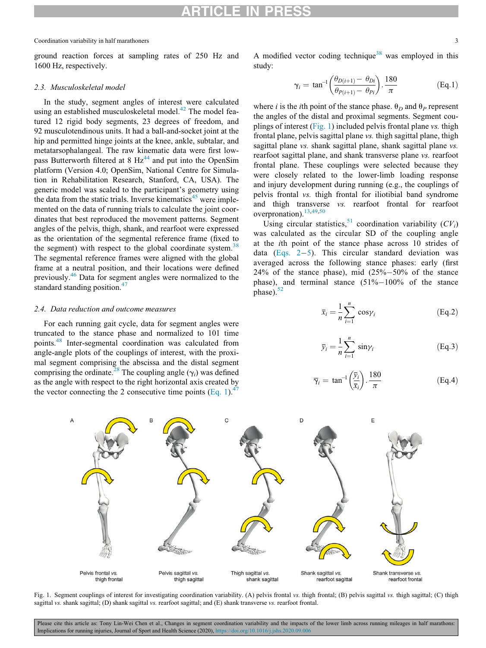## ARTICLE IN PRESS

#### Coordination variability in half marathoners 3

<span id="page-2-0"></span>ground reaction forces at sampling rates of 250 Hz and 1600 Hz, respectively.

#### 2.3. Musculoskeletal model

In the study, segment angles of interest were calculated using an established musculoskeletal model.<sup>[42](#page-7-7)</sup> The model featured 12 rigid body segments, 23 degrees of freedom, and 92 musculotendinous units. It had a ball-and-socket joint at the hip and permitted hinge joints at the knee, ankle, subtalar, and metatarsophalangeal. The raw kinematic data were first lowpass Butterworth filtered at 8  $Hz<sup>44</sup>$  $Hz<sup>44</sup>$  $Hz<sup>44</sup>$  and put into the OpenSim platform (Version 4.0; OpenSim, National Centre for Simulation in Rehabilitation Research, Stanford, CA, USA). The generic model was scaled to the participant's geometry using the data from the static trials. Inverse kinematics<sup>[45](#page-7-10)</sup> were implemented on the data of running trials to calculate the joint coordinates that best reproduced the movement patterns. Segment angles of the pelvis, thigh, shank, and rearfoot were expressed as the orientation of the segmental reference frame (fixed to the segment) with respect to the global coordinate system.<sup>[38](#page-7-3)</sup> The segmental reference frames were aligned with the global frame at a neutral position, and their locations were defined previously.[46](#page-7-11) Data for segment angles were normalized to the standard standing position.<sup>[47](#page-7-12)</sup>

#### <span id="page-2-2"></span>2.4. Data reduction and outcome measures

For each running gait cycle, data for segment angles were truncated to the stance phase and normalized to 101 time points.[48](#page-7-13) Inter-segmental coordination was calculated from angle-angle plots of the couplings of interest, with the proximal segment comprising the abscissa and the distal segment comprising the ordinate.<sup>[28](#page-6-22)</sup> The coupling angle  $(\gamma_i)$  was defined as the angle with respect to the right horizontal axis created by the vector connecting the 2 consecutive time points ([Eq. 1\)](#page-2-0).<sup>[47](#page-7-12)</sup>

A modified vector coding technique<sup>[38](#page-7-3)</sup> was employed in this study:

$$
\gamma_i = \tan^{-1}\left(\frac{\theta_{D(i+1)} - \theta_{Di}}{\theta_{P(i+1)} - \theta_{Pi}}\right) \cdot \frac{180}{\pi}
$$
 (Eq.1)

where i is the ith point of the stance phase.  $\theta_D$  and  $\theta_P$  represent the angles of the distal and proximal segments. Segment couplings of interest [\(Fig. 1](#page-2-1)) included pelvis frontal plane vs. thigh frontal plane, pelvis sagittal plane vs. thigh sagittal plane, thigh sagittal plane vs. shank sagittal plane, shank sagittal plane vs. rearfoot sagittal plane, and shank transverse plane vs. rearfoot frontal plane. These couplings were selected because they were closely related to the lower-limb loading response and injury development during running (e.g., the couplings of pelvis frontal vs. thigh frontal for iliotibial band syndrome and thigh transverse vs. rearfoot frontal for rearfoot overpronation).<sup>[13](#page-6-23)[,49](#page-7-14)[,50](#page-7-15)</sup>

Using circular statistics,<sup>[51](#page-7-16)</sup> coordination variability  $(CV_i)$ was calculated as the circular SD of the coupling angle at the ith point of the stance phase across 10 strides of data (Eqs.  $2-5$ ). This circular standard deviation was averaged across the following stance phases: early (first  $24\%$  of the stance phase), mid  $(25\%-50\%)$  of the stance phase), and terminal stance  $(51\%-100\%)$  of the stance  $phase)$ .<sup>[52](#page-7-17)</sup>

$$
\overline{x}_i = \frac{1}{n} \sum_{i=1}^n \cos \gamma_i
$$
 (Eq.2)

$$
\overline{y}_i = \frac{1}{n} \sum_{i=1}^n \sin \gamma_i
$$
 (Eq.3)

$$
\overline{\gamma}_i = \tan^{-1}\left(\frac{\overline{y}_i}{\overline{x}_i}\right) \cdot \frac{180}{\pi} \tag{Eq.4}
$$

<span id="page-2-1"></span>

Fig. 1. Segment couplings of interest for investigating coordination variability. (A) pelvis frontal vs. thigh frontal; (B) pelvis sagittal vs. thigh sagittal; (C) thigh sagittal vs. shank sagittal; (D) shank sagittal vs. rearfoot sagittal; and (E) shank transverse vs. rearfoot frontal.

Please cite this article as: Tony Lin-Wei Chen et al., Changes in segment coordination variability and the impacts of the lower limb across running mileages in half marathons: Implications for running injuries, Journal of Sport and Health Science (2020), <https://doi.org/10.1016/j.jshs.2020.09.006>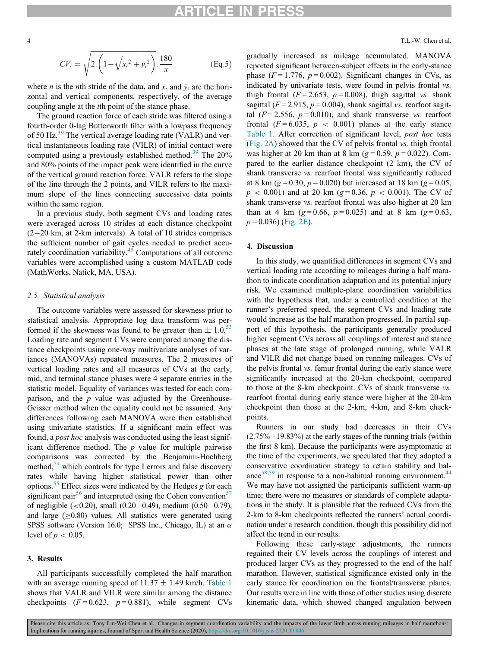## ARTICLE IN PRESS

 $CV_i =$  $f = \sqrt{1 - \frac{1}{2} \int \frac{1}{2} \int \frac{1}{2} \int \frac{1}{2} \int \frac{1}{2} \int \frac{1}{2} \int \frac{1}{2} \int \frac{1}{2} \int \frac{1}{2} \int \frac{1}{2} \int \frac{1}{2} \int \frac{1}{2} \int \frac{1}{2} \int \frac{1}{2} \int \frac{1}{2} \int \frac{1}{2} \int \frac{1}{2} \int \frac{1}{2} \int \frac{1}{2} \int \frac{1}{2} \int \frac{1}{2} \int \frac{1}{2} \int \frac{1}{2} \int \frac{1}{2$  $\sqrt{2.\left(1-\sqrt{\bar{x}_i{}^2+\bar{y}_i{}^2}\right).\frac{180}{\pi}}$  $(Eq.5)$ 

<span id="page-3-0"></span>where *n* is the *n*th stride of the data, and  $\overline{x}_i$  and  $\overline{y}_i$  are the horizontal and vertical components, respectively, of the average coupling angle at the ith point of the stance phase.

The ground reaction force of each stride was filtered using a fourth-order 0-lag Butterworth filter with a lowpass frequency of 50 Hz. $^{39}$  $^{39}$  $^{39}$  The vertical average loading rate (VALR) and vertical instantaneous loading rate (VILR) of initial contact were computed using a previously established method.<sup>[39](#page-7-4)</sup> The  $20\%$ and 80% points of the impact peak were identified in the curve of the vertical ground reaction force. VALR refers to the slope of the line through the 2 points, and VILR refers to the maximum slope of the lines connecting successive data points within the same region.

In a previous study, both segment CVs and loading rates were averaged across 10 strides at each distance checkpoint  $(2-20 \text{ km}, \text{ at } 2\text{-km} \text{ intervals})$ . A total of 10 strides comprises the sufficient number of gait cycles needed to predict accurately coordination variability.<sup>48</sup> Computations of all outcome variables were accomplished using a custom MATLAB code (MathWorks, Natick, MA, USA).

#### 2.5. Statistical analysis

The outcome variables were assessed for skewness prior to statistical analysis. Appropriate log data transform was performed if the skewness was found to be greater than  $\pm 1.0$ .<sup>[53](#page-7-18)</sup> Loading rate and segment CVs were compared among the distance checkpoints using one-way multivariate analyses of variances (MANOVAs) repeated measures. The 2 measures of vertical loading rates and all measures of CVs at the early, mid, and terminal stance phases were 4 separate entries in the statistic model. Equality of variances was tested for each comparison, and the  $p$  value was adjusted by the Greenhouse-Geisser method when the equality could not be assumed. Any differences following each MANOVA were then established using univariate statistics. If a significant main effect was found, a post hoc analysis was conducted using the least significant difference method. The  $p$  value for multiple pairwise comparisons was corrected by the Benjamini-Hochberg method, $54$  which controls for type I errors and false discovery rates while having higher statistical power than other options.<sup>[55](#page-7-20)</sup> Effect sizes were indicated by the Hedges g for each significant pair<sup>[56](#page-7-21)</sup> and interpreted using the Cohen convention<sup>[57](#page-7-22)</sup> of negligible  $(<0.20$ ), small  $(0.20-0.49)$ , medium  $(0.50-0.79)$ , and large  $( \geq 0.80)$  values. All statistics were generated using SPSS software (Version 16.0; SPSS Inc., Chicago, IL) at an  $\alpha$ level of  $p < 0.05$ .

#### 3. Results

All participants successfully completed the half marathon with an average running speed of  $11.37 \pm 1.49$  km/h. [Table 1](#page-4-0) shows that VALR and VILR were similar among the distance checkpoints  $(F = 0.623, p = 0.881)$ , while segment CVs gradually increased as mileage accumulated. MANOVA reported significant between-subject effects in the early-stance phase ( $F = 1.776$ ,  $p = 0.002$ ). Significant changes in CVs, as indicated by univariate tests, were found in pelvis frontal vs. thigh frontal ( $F = 2.653$ ,  $p = 0.008$ ), thigh sagittal vs. shank sagittal ( $F = 2.915$ ,  $p = 0.004$ ), shank sagittal vs. rearfoot sagittal  $(F = 2.556, p = 0.010)$ , and shank transverse vs. rearfoot frontal ( $F = 6.035$ ,  $p < 0.001$ ) planes at the early stance [Table 1](#page-4-0). After correction of significant level, post hoc tests ([Fig. 2A](#page-5-0)) showed that the CV of pelvis frontal vs. thigh frontal was higher at 20 km than at 8 km ( $g = 0.59$ ,  $p = 0.022$ ). Compared to the earlier distance checkpoint (2 km), the CV of shank transverse vs. rearfoot frontal was significantly reduced at 8 km ( $g = 0.30$ ,  $p = 0.020$ ) but increased at 18 km ( $g = 0.05$ ,  $p < 0.001$ ) and at 20 km (g = 0.36, p < 0.001). The CV of shank transverse vs. rearfoot frontal was also higher at 20 km than at 4 km ( $g = 0.66$ ,  $p = 0.025$ ) and at 8 km ( $g = 0.63$ ,  $p = 0.036$ ) [\(Fig. 2E\)](#page-5-0).

#### 4. Discussion

In this study, we quantified differences in segment CVs and vertical loading rate according to mileages during a half marathon to indicate coordination adaptation and its potential injury risk. We examined multiple-plane coordination variabilities with the hypothesis that, under a controlled condition at the runner's preferred speed, the segment CVs and loading rate would increase as the half marathon progressed. In partial support of this hypothesis, the participants generally produced higher segment CVs across all couplings of interest and stance phases at the late stage of prolonged running, while VALR and VILR did not change based on running mileages. CVs of the pelvis frontal vs. femur frontal during the early stance were significantly increased at the 20-km checkpoint, compared to those at the 8-km checkpoint. CVs of shank transverse vs. rearfoot frontal during early stance were higher at the 20-km checkpoint than those at the 2-km, 4-km, and 8-km checkpoints.

Runners in our study had decreases in their CVs  $(2.75\%-19.83\%)$  at the early stages of the running trials (within the first 8 km). Because the participants were asymptomatic at the time of the experiments, we speculated that they adopted a conservative coordination strategy to retain stability and bal-ance<sup>58[,59](#page-7-24)</sup> in response to a non-habitual running environment.<sup>44</sup> We may have not assigned the participants sufficient warm-up time; there were no measures or standards of complete adaptations in the study. It is plausible that the reduced CVs from the 2-km to 8-km checkpoints reflected the runners' actual coordination under a research condition, though this possibility did not affect the trend in our results.

Following these early-stage adjustments, the runners regained their CV levels across the couplings of interest and produced larger CVs as they progressed to the end of the half marathon. However, statistical significance existed only in the early stance for coordination on the frontal/transverse planes. Our results were in line with those of other studies using discrete kinematic data, which showed changed angulation between

Please cite this article as: Tony Lin-Wei Chen et al., Changes in segment coordination variability and the impacts of the lower limb across running mileages in half marathons: Implications for running injuries, Journal of Sport and Health Science (2020), <https://doi.org/10.1016/j.jshs.2020.09.006>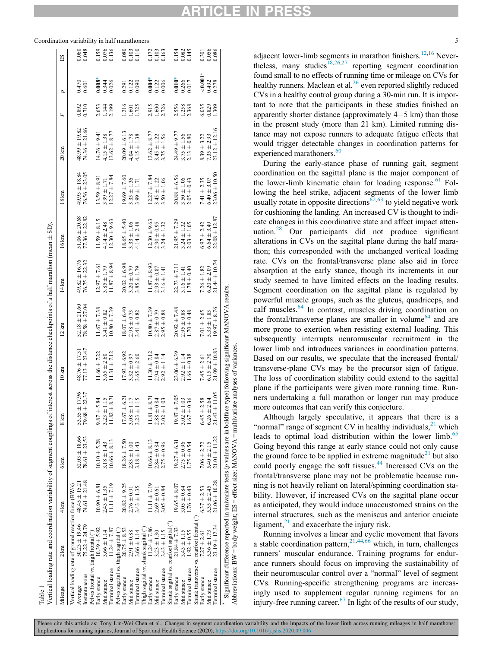<span id="page-4-0"></span>Coordination variability in half marathoners 5

|                                        |                                                       |                   | Vertical loading rate and coordination variability of segment couplings of interest across the distance checkpoints of a half marathon (mean ± SD) |                      |                   |                   |                   |                   |                   |                   |       |                |                         |
|----------------------------------------|-------------------------------------------------------|-------------------|----------------------------------------------------------------------------------------------------------------------------------------------------|----------------------|-------------------|-------------------|-------------------|-------------------|-------------------|-------------------|-------|----------------|-------------------------|
| Mileage                                | $2 \text{ km}$                                        | $4 \text{ km}$    | $6 \mathrm{km}$                                                                                                                                    | $8 \mathrm{km}$      | $10 \mathrm{km}$  | $12 \mathrm{km}$  | $14 \mathrm{km}$  | $16 \mathrm{km}$  | 18 km             | $20 \mathrm{km}$  | Ŀ,    | Þ              | ES                      |
|                                        | Vertical loading rate of ground reaction force (BW/s) |                   |                                                                                                                                                    |                      |                   |                   |                   |                   |                   |                   |       |                |                         |
| Average                                | $50.23 \pm 19.46$                                     | $48.45 \pm 15.21$ | $52.03 \pm 18.66$                                                                                                                                  | ± 17.96<br>53.55     | $48.76 \pm 17.3$  | $52.18 \pm 21.60$ | $49.82 \pm 16.76$ | $51.06 \pm 20.68$ | $49.93 \pm 18.84$ | $48.99 \pm 19.82$ | 0.892 | 0.470          | 0.060                   |
| Instantaneous                          | $75.22 \pm 24.79$                                     | $74.61 \pm 21.48$ | $78.61 \pm 23.53$                                                                                                                                  | ± 22.37<br>79.68     | $77.13 \pm 23.47$ | $78.58 \pm 27.04$ | $76.75 \pm 22.32$ | $77.36 \pm 22.82$ | $76.56 \pm 23.05$ | $74.36 \pm 21.66$ | 0.710 | 0.601          | 0.048                   |
| Pelvis frontal vs. thigh frontal ("    |                                                       |                   |                                                                                                                                                    |                      |                   |                   |                   |                   |                   |                   |       |                |                         |
| Early stance                           | $10.39 \pm 5.92$                                      | $10.90 \pm 6.81$  | $10.10 \pm 5.28$                                                                                                                                   | $9.87 \pm 5.84$      | $11.66 \pm 7.22$  | $11.67 \pm 7.38$  | $12.97 \pm 7.61$  | $11.59 \pm 8.15$  | $13.59 \pm 8.91$  | $14.76 \pm 9.4$   | 2.653 | 0.008          | 0.159                   |
| Mid stance                             | $3.66 \pm 1.14$                                       | $2.43 \pm 1.35$   | $3.18 \pm 1.43$                                                                                                                                    | $3.23 \pm 1.15$      | $3.65 \pm 2.60$   | 3.41 $\pm$ 0.82   | $3.85 \pm 1.79$   | $4.14 \pm 2.48$   | $3.99 \pm 1.71$   | $4.15 \pm 1.38$   | 1.144 | 0.344          | 0.076                   |
| Terminal stance                        | $11.24 \pm 7.87$                                      | $11.11 \pm 7.19$  | $10.66 \pm 8.13$                                                                                                                                   | 2.11<br>11.82        | $11.31 \pm 7.12$  | $10.80 \pm 7.39$  | $11.87 \pm 8.94$  | $12.30 \pm 9.63$  | $12.27 \pm 7.84$  | $13.62 \pm 8.77$  | 2.199 | 0.026          | 0.136                   |
| Pelvis sagittal vs. thigh sagittal (°) |                                                       |                   |                                                                                                                                                    |                      |                   |                   |                   |                   |                   |                   |       |                |                         |
| Early stance                           | $20.75 \pm 8.53$                                      | $20.82 \pm 9.25$  | $18.26 \pm 7.50$                                                                                                                                   | $\pm 6.21$<br>17.67  | $17.93 \pm 6.92$  | $18.07 \pm 6.40$  | $20.02 \pm 6.98$  | $18.65 \pm 5.40$  | $19.69 \pm 7.60$  | $20.09 \pm 6.13$  | 1.216 |                | 0.080                   |
| Mid stance                             | $2.91 \pm 0.88$                                       | $2.76 \pm 0.91$   | $2.83 \pm 1.00$                                                                                                                                    | $3.08 \pm 1.17$      | $3.32 \pm 0.97$   | $2.98 \pm 0.73$   | $3.20 \pm 0.79$   | $3.33 \pm 1.06$   | $3.35 \pm 1.36$   | $4.04 \pm 1.78$   | 1.601 | 0.291<br>0.122 | 0.103                   |
| Terminal stance                        | $3.66 \pm 1.14$                                       | $3.43 \pm 1.35$   | $3.18 \pm 1.43$                                                                                                                                    | $3.23 \pm 1.15$      | $3.65 \pm 2.60$   | $3.41 \pm 0.82$   | $3.85 \pm 1.79$   | $4.14 \pm 2.48$   | $3.99 \pm 1.71$   | $4.15 \pm 1.38$   | 1.725 | 0.090          | 0.110                   |
| Thigh sagittal vs. shank sagittal (")  |                                                       |                   |                                                                                                                                                    |                      |                   |                   |                   |                   |                   |                   |       |                |                         |
| Early stance                           | $11.24 \pm 7.86$                                      | $11.11 \pm 7.19$  | $10.66 \pm 8.13$                                                                                                                                   | $\pm$ 8.71<br>11.81  | $11.30 \pm 7.12$  | $10.80 \pm 7.39$  | $11.87 \pm 8.93$  | $12.30 \pm 9.63$  | $12.27 \pm 7.84$  | $13.62 \pm 8.77$  | 2.915 | 0.004          |                         |
| Mid stance                             | $3.23 \pm 1.30$                                       | $2.69 \pm 0.61$   | $2.84 \pm 0.84$                                                                                                                                    | $2.88 \pm 0.84$      | $2.94 \pm 0.84$   | $2.87 \pm 0.79$   | $2.93 \pm 0.87$   | $2.90 \pm 0.95$   | $3.45 \pm 1.22$   | $3.45 \pm 1.22$   | 1.600 | 0.122          | 0.172<br>0.103          |
| Terminal stance                        | $3.43 \pm 1.15$                                       | $3.05 \pm 0.84$   | $2.75 \pm 0.96$                                                                                                                                    | $3.02 \pm 1.03$      | $2.92 \pm 1.14$   | $2.95 \pm 0.88$   | $3.16 \pm 1.41$   | $3.24 \pm 1.32$   | $3.50 \pm 1.06$   | $3.75 \pm 1.56$   | 2.726 | 0.006          | 0.163                   |
|                                        | Shank sagittal vs. rearfoot sagittal (°)              |                   |                                                                                                                                                    |                      |                   |                   |                   |                   |                   |                   |       |                |                         |
| Early stance                           | $21.84 \pm 7.33$                                      | $19.65 \pm 8.07$  | $19.27 \pm 6.31$                                                                                                                                   | $\pm 7.05$<br>19.87  | $23.06 \pm 6.39$  | $20.92 \pm 7.48$  | $22.73 \pm 7.11$  | $21.95 \pm 7.29$  | $20.88 \pm 6.56$  | $24.49 \pm 9.77$  | 2.556 | $0.010*$       |                         |
| Mid stance                             | $3.43 \pm 1.15$                                       | $3.05 \pm 0.84$   | $2.75 \pm 0.96$                                                                                                                                    | $3.02 \pm 1.03$      | $2.92 \pm 1.14$   | $2.95 \pm 0.88$   | $3.16 \pm 1.41$   | $3.24 \pm 1.32$   | $3.50 \pm 1.06$   | $3.75 \pm 1.56$   | 1.258 | 0.266          | 0.154<br>0.082<br>0.145 |
| Terminal stance                        | $1.92 \pm 0.55$                                       | $1.76 \pm 0.43$   | $1.75 \pm 0.54$                                                                                                                                    | $1.67 \pm 0.36$      | $1.66 \pm 0.38$   | $1.70 \pm 0.48$   | $1.78 \pm 0.40$   | $2.03 \pm 1.05$   | $2.05 \pm 0.43$   | $2.13 \pm 0.80$   | 2.368 | 0.017          |                         |
|                                        | Shank transverse vs. rearfoot frontal                 |                   |                                                                                                                                                    |                      |                   |                   |                   |                   |                   |                   |       |                |                         |
| Early stance                           | $7.27 \pm 2.61$                                       | $6.37 \pm 2.53$   | $7.06 \pm 2.72$                                                                                                                                    | $6.45 \pm 2.58$      | $7.45 \pm 2.61$   | 7.01 $\pm$ 2.65   | $7.26 \pm 1.82$   | $6.97 \pm 2.42$   | $7.41 \pm 2.35$   | $8.39 \pm 3.22$   | 6.035 | $\frac{1}{2}$  | 0.301                   |
| Mid stance                             | $5.36 \pm 1.73$                                       | $5.35 \pm 2.45$   | $5.40 \pm 2.15$                                                                                                                                    | $6.26 \pm 2.64$      | $6.15 \pm 2.70$   | $5.33 \pm 1.83$   | $6.20 \pm 2.09$   | $6.64 \pm 3.49$   | $6.40 \pm 3.07$   | $7.35 \pm 2.93$   | 0.829 | 0.492          | 0.056                   |
| Terminal stance                        | $23.19 \pm 12.34$                                     | $21.06 \pm 10.28$ | $21.01 \pm 11.22$                                                                                                                                  | $\pm$ 11.05<br>21.43 | $21.09 \pm 10.83$ | $19.97 \pm 8.76$  | $21.44 \pm 10.74$ | $22.08 \pm 12.87$ | $23.06 \pm 10.50$ | $23.12 \pm 12.16$ | 1.309 | 0.278          | 0.086                   |
|                                        |                                                       |                   | Significant difference reported in univariate tests (p values are in boldface type) following significant MANOVA results.                          |                      |                   |                   |                   |                   |                   |                   |       |                |                         |
|                                        |                                                       |                   | Abbreviations: BW = body weight; ES = effect size; MANOVA = multivariate analyses of variances.                                                    |                      |                   |                   |                   |                   |                   |                   |       |                |                         |
|                                        |                                                       |                   |                                                                                                                                                    |                      |                   |                   |                   |                   |                   |                   |       |                |                         |

Table 1

adjacent lower-limb segments in marathon finishers.<sup>[12](#page-6-24),[16](#page-6-25)</sup> Nevertheless, many studies $18,26,27$  $18,26,27$  $18,26,27$  reporting segment coordination found small to no effects of running time or mileage on CVs for healthy runners. Maclean et al.<sup>26</sup> even reported slightly reduced CVs in a healthy control group during a 30-min run. It is important to note that the participants in these studies finished an apparently shorter distance (approximately  $4-5$  km) than those in the present study (more than 21 km). Limited running distance may not expose runners to adequate fatigue effects that would trigger detectable changes in coordination patterns for experienced marathoners.<sup>60</sup>

During the early-stance phase of running gait, segment coordination on the sagittal plane is the major component of the lower-limb kinematic chain for loading response. $61$  Following the heel strike, adjacent segments of the lower limb usually rotate in opposite directions<sup>62,[63](#page-7-28)</sup> to yield negative work for cushioning the landing. An increased CV is thought to indicate changes in this coordinative state and affect impact attenuation.[28](#page-6-22) Our participants did not produce significant alterations in CVs on the sagittal plane during the half marathon; this corresponded with the unchanged vertical loading rate. CVs on the frontal/transverse plane also aid in force absorption at the early stance, though its increments in our study seemed to have limited effects on the loading results. Segment coordination on the sagittal plane is regulated by powerful muscle groups, such as the gluteus, quadriceps, and calf muscles.<sup>[64](#page-7-29)</sup> In contrast, muscles driving coordination on the frontal/transverse planes are smaller in volume<sup>[64](#page-7-29)</sup> and are more prone to exertion when resisting external loading. This subsequently interrupts neuromuscular recruitment in the lower limb and introduces variances in coordination patterns. Based on our results, we speculate that the increased frontal/ transverse-plane CVs may be the precursor sign of fatigue. The loss of coordination stability could extend to the sagittal plane if the participants were given more running time. Runners undertaking a full marathon or longer run may produce more outcomes that can verify this conjecture.

Although largely speculative, it appears that there is a "normal" range of segment CV in healthy individuals, $^{21}$  $^{21}$  $^{21}$  which leads to optimal load distribution within the lower limb.<sup>[65](#page-7-30)</sup> Going beyond this range at early stance could not only cause the ground force to be applied in extreme magnitude<sup>[21](#page-6-15)</sup> but also could poorly engage the soft tissues.<sup>[44](#page-7-9)</sup> Increased CVs on the frontal/transverse plane may not be problematic because running is not heavily reliant on lateral/spinning coordination stability. However, if increased CVs on the sagittal plane occur as anticipated, they would induce unaccustomed strains on the internal structures, such as the meniscus and anterior cruciate ligament, $^{21}$  and exacerbate the injury risk.

Running involves a linear and cyclic movement that favors a stable coordination pattern,<sup>21,[44](#page-7-9)[,66](#page-7-31)</sup> which, in turn, challenges runners' muscular endurance. Training programs for endurance runners should focus on improving the sustainability of their neuromuscular control over a "normal" level of segment CVs. Running-specific strengthening programs are increasingly used to supplement regular running regimens for an injury-free running career.<sup>67</sup> In light of the results of our study,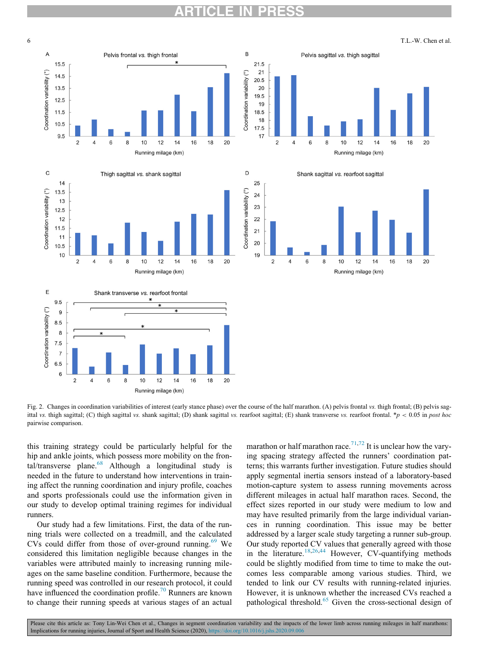ARTICLE IN PRESS

<span id="page-5-0"></span>









Fig. 2. Changes in coordination variabilities of interest (early stance phase) over the course of the half marathon. (A) pelvis frontal vs. thigh frontal: (B) pelvis sagittal vs. thigh sagittal; (C) thigh sagittal vs. shank sagittal; (D) shank sagittal vs. rearfoot sagittal; (E) shank transverse vs. rearfoot frontal. \*p < 0.05 in post hoc pairwise comparison.

this training strategy could be particularly helpful for the hip and ankle joints, which possess more mobility on the fron-tal/transverse plane.<sup>[68](#page-7-33)</sup> Although a longitudinal study is needed in the future to understand how interventions in training affect the running coordination and injury profile, coaches and sports professionals could use the information given in our study to develop optimal training regimes for individual runners.

Our study had a few limitations. First, the data of the running trials were collected on a treadmill, and the calculated CVs could differ from those of over-ground running.<sup>[69](#page-7-34)</sup> We considered this limitation negligible because changes in the variables were attributed mainly to increasing running mileages on the same baseline condition. Furthermore, because the running speed was controlled in our research protocol, it could have influenced the coordination profile.<sup>70</sup> Runners are known to change their running speeds at various stages of an actual

marathon or half marathon race.<sup>[71](#page-7-36)[,72](#page-7-37)</sup> It is unclear how the varying spacing strategy affected the runners' coordination patterns; this warrants further investigation. Future studies should apply segmental inertia sensors instead of a laboratory-based motion-capture system to assess running movements across different mileages in actual half marathon races. Second, the effect sizes reported in our study were medium to low and may have resulted primarily from the large individual variances in running coordination. This issue may be better addressed by a larger scale study targeting a runner sub-group. Our study reported CV values that generally agreed with those in the literature.<sup>[18,](#page-6-12)[26,](#page-6-18)[44](#page-7-9)</sup> However, CV-quantifying methods could be slightly modified from time to time to make the outcomes less comparable among various studies. Third, we tended to link our CV results with running-related injuries. However, it is unknown whether the increased CVs reached a pathological threshold.[65](#page-7-30) Given the cross-sectional design of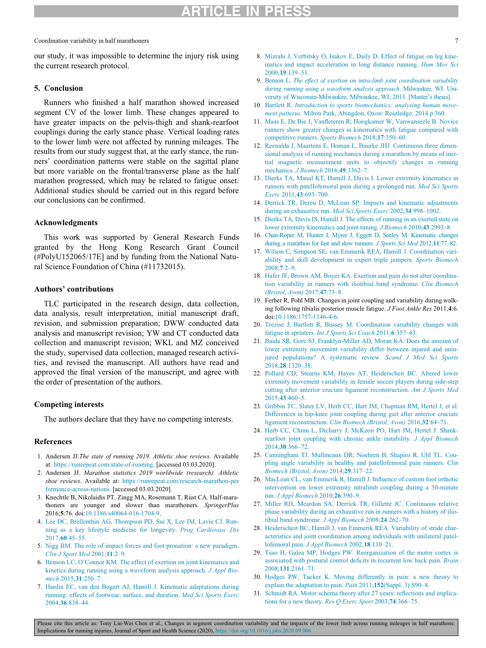#### Coordination variability in half marathoners 7

<span id="page-6-7"></span>our study, it was impossible to determine the injury risk using the current research protocol.

## <span id="page-6-8"></span>5. Conclusion

<span id="page-6-24"></span><span id="page-6-10"></span><span id="page-6-9"></span>Runners who finished a half marathon showed increased segment CV of the lower limb. These changes appeared to have greater impacts on the pelvis-thigh and shank-rearfoot couplings during the early stance phase. Vertical loading rates to the lower limb were not affected by running mileages. The results from our study suggest that, at the early stance, the runners' coordination patterns were stable on the sagittal plane but more variable on the frontal/transverse plane as the half marathon progressed, which may be related to fatigue onset. Additional studies should be carried out in this regard before our conclusions can be confirmed.

## <span id="page-6-23"></span>Acknowledgments

<span id="page-6-25"></span><span id="page-6-11"></span>This work was supported by General Research Funds granted by the Hong Kong Research Grant Council (#PolyU152065/17E] and by funding from the National Natural Science Foundation of China (#11732015).

### <span id="page-6-12"></span>Authors' contributions

<span id="page-6-15"></span><span id="page-6-14"></span><span id="page-6-13"></span>TLC participated in the research design, data collection, data analysis, result interpretation, initial manuscript draft, revision, and submission preparation; DWW conducted data analysis and manuscript revision; YW and CT conducted data collection and manuscript revision; WKL and MZ conceived the study, supervised data collection, managed research activities, and revised the manuscript. All authors have read and approved the final version of the manuscript, and agree with the order of presentation of the authors.

### <span id="page-6-17"></span><span id="page-6-16"></span>Competing interests

The authors declare that they have no competing interests.

### <span id="page-6-0"></span>References

- 1. Andersen JJ.The state of running 2019. Athletic shoe reviews. Available at: [https://runrepeat.com/state-of-running.](https://runrepeat.com/state-of-running) [accessed 03.03.2020].
- <span id="page-6-18"></span><span id="page-6-1"></span>2. Andersen JJ. Marathon statistics 2019 worldwide (research). Athletic shoe reviews. Available at: [https://runrepeat.com/research-marathon-per](https://runrepeat.com/research-marathon-performance-across-nations) [formance-across-nations](https://runrepeat.com/research-marathon-performance-across-nations). [accessed 03.03.2020].
- <span id="page-6-26"></span><span id="page-6-2"></span>3. Knechtle B, Nikolaidis PT, Zingg MA, Rosemann T, Rüst CA. Half-marathoners are younger and slower than marathoners. SpringerPlus 2016;5:76. doi:[10.1186/s40064-016-1704-9.](https://doi.org/10.1186/s40064-016-1704-9)
- <span id="page-6-22"></span><span id="page-6-3"></span>4. [Lee DC, Brellenthin AG, Thompson PD, Sui X, Lee IM, Lavie CJ. Run](http://refhub.elsevier.com/S2095-2546(20)30122-8/sbref0004)[ning as a key lifestyle medicine for longevity.](http://refhub.elsevier.com/S2095-2546(20)30122-8/sbref0004) Prog Cardiovasc Dis 2017;60[:45–55.](http://refhub.elsevier.com/S2095-2546(20)30122-8/sbref0004)
- <span id="page-6-19"></span><span id="page-6-4"></span>5. [Nigg BM. The role of impact forces and foot pronation: a new paradigm.](http://refhub.elsevier.com/S2095-2546(20)30122-8/sbref0005) [Clin J Sport Med](http://refhub.elsevier.com/S2095-2546(20)30122-8/sbref0005) 2001;11:2–9.
- <span id="page-6-5"></span>6. [Benson LC, O'Connor KM. The effect of exertion on joint kinematics and](http://refhub.elsevier.com/S2095-2546(20)30122-8/sbref0006) [kinetics during running using a waveform analysis approach.](http://refhub.elsevier.com/S2095-2546(20)30122-8/sbref0006) J Appl Biomech 2015;31[:250–7.](http://refhub.elsevier.com/S2095-2546(20)30122-8/sbref0006)
- <span id="page-6-21"></span><span id="page-6-20"></span><span id="page-6-6"></span>7. [Hardin EC, van den Bogert AJ, Hamill J. Kinematic adaptations during](http://refhub.elsevier.com/S2095-2546(20)30122-8/sbref0007) [running: effects of footwear, surface, and duration.](http://refhub.elsevier.com/S2095-2546(20)30122-8/sbref0007) Med Sci Sports Exerc 2004;36[:838–44.](http://refhub.elsevier.com/S2095-2546(20)30122-8/sbref0007)
- 8. [Mizrahi J, Verbitsky O, Isakov E, Daily D. Effect of fatigue on leg kine](http://refhub.elsevier.com/S2095-2546(20)30122-8/sbref0008)[matics and impact acceleration in long distance running.](http://refhub.elsevier.com/S2095-2546(20)30122-8/sbref0008) Hum Mov Sci  $2000 \cdot 19 \cdot 139 - 51$
- 9. Benson L. [The effect of exertion on intra-limb joint coordination variability](http://refhub.elsevier.com/S2095-2546(20)30122-8/sbref0009) [during running using a waveform analysis approach](http://refhub.elsevier.com/S2095-2546(20)30122-8/sbref0009). Milwaukee, WI: Uni[versity of Wisconsin-Milwaukee, Milwaukee, WI; 2013. \[Master](http://refhub.elsevier.com/S2095-2546(20)30122-8/sbref0009)'[s thesis\].](http://refhub.elsevier.com/S2095-2546(20)30122-8/sbref0009)
- 10. Bartlett R. [Introduction to sports biomechanics: analysing human move](http://refhub.elsevier.com/S2095-2546(20)30122-8/sbref0010)ment patterns[. Milton Park, Abingdon, Oxon: Routledge; 2014.p.360.](http://refhub.elsevier.com/S2095-2546(20)30122-8/sbref0010)
- 11. [Maas E, De Bie J, Vanfleteren R, Hoogkamer W, Vanwanseele B. Novice](http://refhub.elsevier.com/S2095-2546(20)30122-8/sbref0011) [runners show greater changes in kinematics with fatigue compared with](http://refhub.elsevier.com/S2095-2546(20)30122-8/sbref0011) [competitive runners.](http://refhub.elsevier.com/S2095-2546(20)30122-8/sbref0011) Sports Biomech 2018;17:350–60.
- 12. [Reenalda J, Maartens E, Homan L, Buurke JHJ. Continuous three dimen](http://refhub.elsevier.com/S2095-2546(20)30122-8/sbref0012)[sional analysis of running mechanics during a marathon by means of iner](http://refhub.elsevier.com/S2095-2546(20)30122-8/sbref0012)[tial magnetic measurement units to objectify changes in running](http://refhub.elsevier.com/S2095-2546(20)30122-8/sbref0012) [mechanics.](http://refhub.elsevier.com/S2095-2546(20)30122-8/sbref0012) J Biomech 2016;49:3362–7.
- 13. [Dierks TA, Manal KT, Hamill J, Davis I. Lower extremity kinematics in](http://refhub.elsevier.com/S2095-2546(20)30122-8/sbref0013) [runners with patellofemoral pain during a prolonged run.](http://refhub.elsevier.com/S2095-2546(20)30122-8/sbref0013) Med Sci Sports Exerc 2011;43[:693–700.](http://refhub.elsevier.com/S2095-2546(20)30122-8/sbref0013)
- 14. [Derrick TR, Dereu D, McLean SP. Impacts and kinematic adjustments](http://refhub.elsevier.com/S2095-2546(20)30122-8/sbref0014) [during an exhaustive run.](http://refhub.elsevier.com/S2095-2546(20)30122-8/sbref0014) Med Sci Sports Exerc 2002;34:998–1002.
- 15. [Dierks TA, Davis IS, Hamill J. The effects of running in an exerted state on](http://refhub.elsevier.com/S2095-2546(20)30122-8/sbref0015) [lower extremity kinematics and joint timing.](http://refhub.elsevier.com/S2095-2546(20)30122-8/sbref0015) J Biomech 2010;43:2993–8.
- 16. [Chan-Roper M, Hunter I, Myrer J, Eggett D, Seeley M. Kinematic changes](http://refhub.elsevier.com/S2095-2546(20)30122-8/sbref0016) [during a marathon for fast and slow runners.](http://refhub.elsevier.com/S2095-2546(20)30122-8/sbref0016) J Sports Sci Med 2012;11:77–82.
- 17. [Wilson C, Simpson SE, van Emmerik REA, Hamill J. Coordination vari](http://refhub.elsevier.com/S2095-2546(20)30122-8/sbref0017)[ability and skill development in expert triple jumpers.](http://refhub.elsevier.com/S2095-2546(20)30122-8/sbref0017) Sports Biomech [2008;](http://refhub.elsevier.com/S2095-2546(20)30122-8/sbref0017)7:2–9.
- 18. [Hafer JF, Brown AM, Boyer KA. Exertion and pain do not alter coordina](http://refhub.elsevier.com/S2095-2546(20)30122-8/sbref0018)[tion variability in runners with iliotibial band syndrome.](http://refhub.elsevier.com/S2095-2546(20)30122-8/sbref0018) Clin Biomech [\(Bristol, Avon\)](http://refhub.elsevier.com/S2095-2546(20)30122-8/sbref0018) 2017;47:73–8.
- 19. Ferber R, Pohl MB. Changes in joint coupling and variability during walking following tibialis posterior muscle fatigue. J Foot Ankle Res 2011;4:6. doi[:10.1186/1757-1146-4-6](https://doi.org/10.1186/1757-1146-4-6).
- 20. [Trezise J, Bartlett R, Bussey M. Coordination variability changes with](http://refhub.elsevier.com/S2095-2546(20)30122-8/sbref0020) fatigue in sprinters. *[Int J Sports Sci Coach](http://refhub.elsevier.com/S2095-2546(20)30122-8/sbref0020)* 2011;6:357–63.
- 21. [Baida SR, Gore SJ, Franklyn-Miller AD, Moran KA. Does the amount of](http://refhub.elsevier.com/S2095-2546(20)30122-8/sbref0021) [lower extremity movement variability differ between injured and unin](http://refhub.elsevier.com/S2095-2546(20)30122-8/sbref0021)[jured populations? A systematic review.](http://refhub.elsevier.com/S2095-2546(20)30122-8/sbref0021) Scand J Med Sci Sports 2018;28[:1320–38.](http://refhub.elsevier.com/S2095-2546(20)30122-8/sbref0021)
- 22. [Pollard CD, Stearns KM, Hayes AT, Heiderscheit BC. Altered lower](http://refhub.elsevier.com/S2095-2546(20)30122-8/sbref0022) [extremity movement variability in female soccer players during side-step](http://refhub.elsevier.com/S2095-2546(20)30122-8/sbref0022) [cutting after anterior cruciate ligament reconstruction.](http://refhub.elsevier.com/S2095-2546(20)30122-8/sbref0022) Am J Sports Med  $2015:43:460-5$
- 23. [Gribbin TC, Slater LV, Herb CC, Hart JM, Chapman RM, Hertel J, et al.](http://refhub.elsevier.com/S2095-2546(20)30122-8/sbref0023) [Differences in hip-knee joint coupling during gait after anterior cruciate](http://refhub.elsevier.com/S2095-2546(20)30122-8/sbref0023) ligament reconstruction. [Clin Biomech \(Bristol, Avon\)](http://refhub.elsevier.com/S2095-2546(20)30122-8/sbref0023) 2016;32:64–71.
- 24. [Herb CC, Chinn L, Dicharry J, McKeon PO, Hart JM, Hertel J. Shank](http://refhub.elsevier.com/S2095-2546(20)30122-8/sbref0024)[rearfoot joint coupling with chronic ankle instability.](http://refhub.elsevier.com/S2095-2546(20)30122-8/sbref0024) J Appl Biomech 2014;30[:366–72.](http://refhub.elsevier.com/S2095-2546(20)30122-8/sbref0024)
- 25. [Cunningham TJ, Mullineaux DR, Noehren B, Shapiro R, Uhl TL. Cou](http://refhub.elsevier.com/S2095-2546(20)30122-8/sbref0025)[pling angle variability in healthy and patellofemoral pain runners.](http://refhub.elsevier.com/S2095-2546(20)30122-8/sbref0025) Clin [Biomech \(Bristol, Avon\)](http://refhub.elsevier.com/S2095-2546(20)30122-8/sbref0025) 2014;29:317–22.
- 26. [MacLean CL, van Emmerik R, Hamill J. Influence of custom foot orthotic](http://refhub.elsevier.com/S2095-2546(20)30122-8/sbref0026) [intervention on lower extremity intralimb coupling during a 30-minute](http://refhub.elsevier.com/S2095-2546(20)30122-8/sbref0026) run. [J Appl Biomech](http://refhub.elsevier.com/S2095-2546(20)30122-8/sbref0026) 2010;26:390–9.
- 27. [Miller RH, Meardon SA, Derrick TR, Gillette JC. Continuous relative](http://refhub.elsevier.com/S2095-2546(20)30122-8/sbref0027) [phase variability during an exhaustive run in runners with a history of ilio](http://refhub.elsevier.com/S2095-2546(20)30122-8/sbref0027)[tibial band syndrome.](http://refhub.elsevier.com/S2095-2546(20)30122-8/sbref0027) J Appl Biomech 2008;24:262-70.
- 28. [Heiderscheit BC, Hamill J, van Emmerik REA. Variability of stride char](http://refhub.elsevier.com/S2095-2546(20)30122-8/sbref0028)[acteristics and joint coordination among individuals with unilateral patel](http://refhub.elsevier.com/S2095-2546(20)30122-8/sbref0028)lofemoral pain. [J Appl Biomech](http://refhub.elsevier.com/S2095-2546(20)30122-8/sbref0028) 2002;18:110–21.
- 29. [Tsao H, Galea MP, Hodges PW. Reorganization of the motor cortex is](http://refhub.elsevier.com/S2095-2546(20)30122-8/sbref0029) [associated with postural control deficits in recurrent low back pain.](http://refhub.elsevier.com/S2095-2546(20)30122-8/sbref0029) Brain 2008;131[:2161–71.](http://refhub.elsevier.com/S2095-2546(20)30122-8/sbref0029)
- 30. [Hodges PW, Tucker K. Moving differently in pain: a new theory to](http://refhub.elsevier.com/S2095-2546(20)30122-8/sbref0030) [explain the adaptation to pain.](http://refhub.elsevier.com/S2095-2546(20)30122-8/sbref0030) Pain 2011;152(Suppl. 3):S90–8.
- 31. [Schmidt RA. Motor schema theory after 27 years: reflections and implica](http://refhub.elsevier.com/S2095-2546(20)30122-8/sbref0031)[tions for a new theory.](http://refhub.elsevier.com/S2095-2546(20)30122-8/sbref0031) Res Q Exerc Sport 2003;74:366–75.

Please cite this article as: Tony Lin-Wei Chen et al., Changes in segment coordination variability and the impacts of the lower limb across running mileages in half marathons: Implications for running injuries, Journal of Sport and Health Science (2020), <https://doi.org/10.1016/j.jshs.2020.09.006>